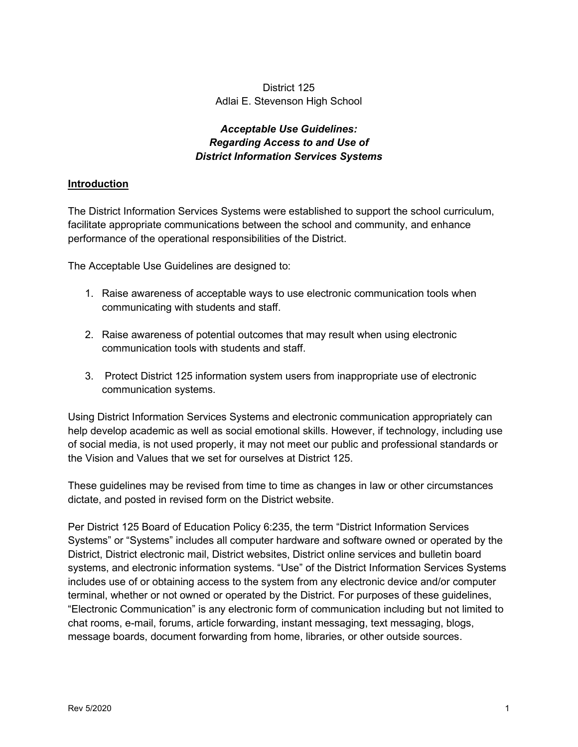## District 125 Adlai E. Stevenson High School

## *Acceptable Use Guidelines: Regarding Access to and Use of District Information Services Systems*

### **Introduction**

The District Information Services Systems were established to support the school curriculum, facilitate appropriate communications between the school and community, and enhance performance of the operational responsibilities of the District.

The Acceptable Use Guidelines are designed to:

- 1. Raise awareness of acceptable ways to use electronic communication tools when communicating with students and staff.
- 2. Raise awareness of potential outcomes that may result when using electronic communication tools with students and staff.
- 3. Protect District 125 information system users from inappropriate use of electronic communication systems.

Using District Information Services Systems and electronic communication appropriately can help develop academic as well as social emotional skills. However, if technology, including use of social media, is not used properly, it may not meet our public and professional standards or the Vision and Values that we set for ourselves at District 125.

These guidelines may be revised from time to time as changes in law or other circumstances dictate, and posted in revised form on the District website.

Per District 125 Board of Education Policy 6:235, the term "District Information Services" Systems" or "Systems" includes all computer hardware and software owned or operated by the District, District electronic mail, District websites, District online services and bulletin board systems, and electronic information systems. "Use" of the District Information Services Systems includes use of or obtaining access to the system from any electronic device and/or computer terminal, whether or not owned or operated by the District. For purposes of these guidelines, "Electronic Communication" is any electronic form of communication including but not limited to chat rooms, e-mail, forums, article forwarding, instant messaging, text messaging, blogs, message boards, document forwarding from home, libraries, or other outside sources.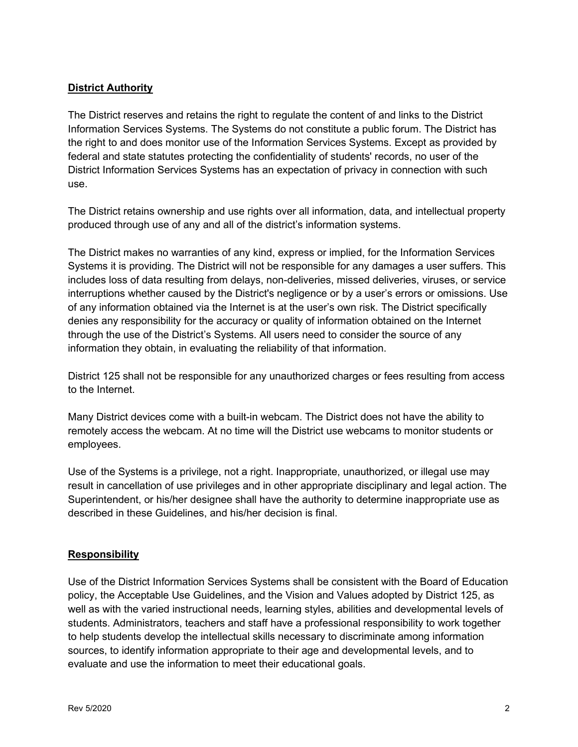### **District Authority**

The District reserves and retains the right to regulate the content of and links to the District Information Services Systems. The Systems do not constitute a public forum. The District has the right to and does monitor use of the Information Services Systems. Except as provided by federal and state statutes protecting the confidentiality of students' records, no user of the District Information Services Systems has an expectation of privacy in connection with such use.

The District retains ownership and use rights over all information, data, and intellectual property produced through use of any and all of the district's information systems.

The District makes no warranties of any kind, express or implied, for the Information Services Systems it is providing. The District will not be responsible for any damages a user suffers. This includes loss of data resulting from delays, non-deliveries, missed deliveries, viruses, or service interruptions whether caused by the District's negligence or by a user's errors or omissions. Use of any information obtained via the Internet is at the user's own risk. The District specifically denies any responsibility for the accuracy or quality of information obtained on the Internet through the use of the District's Systems. All users need to consider the source of any information they obtain, in evaluating the reliability of that information.

District 125 shall not be responsible for any unauthorized charges or fees resulting from access to the Internet.

Many District devices come with a built-in webcam. The District does not have the ability to remotely access the webcam. At no time will the District use webcams to monitor students or employees.

Use of the Systems is a privilege, not a right. Inappropriate, unauthorized, or illegal use may result in cancellation of use privileges and in other appropriate disciplinary and legal action. The Superintendent, or his/her designee shall have the authority to determine inappropriate use as described in these Guidelines, and his/her decision is final.

### **Responsibility**

Use of the District Information Services Systems shall be consistent with the Board of Education policy, the Acceptable Use Guidelines, and the Vision and Values adopted by District 125, as well as with the varied instructional needs, learning styles, abilities and developmental levels of students. Administrators, teachers and staff have a professional responsibility to work together to help students develop the intellectual skills necessary to discriminate among information sources, to identify information appropriate to their age and developmental levels, and to evaluate and use the information to meet their educational goals.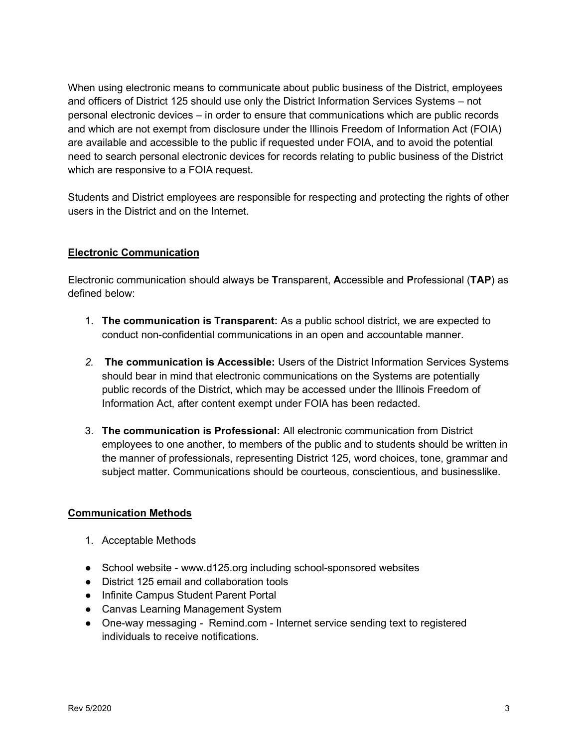When using electronic means to communicate about public business of the District, employees and officers of District 125 should use only the District Information Services Systems – not personal electronic devices  $-$  in order to ensure that communications which are public records and which are not exempt from disclosure under the Illinois Freedom of Information Act (FOIA) are available and accessible to the public if requested under FOIA, and to avoid the potential need to search personal electronic devices for records relating to public business of the District which are responsive to a FOIA request.

Students and District employees are responsible for respecting and protecting the rights of other users in the District and on the Internet.

## **Electronic Communication**

Electronic communication should always be **T**ransparent, **A**ccessible and **P**rofessional (**TAP**) as defined below:

- 1. **The communication is Transparent:** As a public school district, we are expected to conduct non-confidential communications in an open and accountable manner.
- *2.* **The communication is Accessible:** Users of the District Information Services Systems should bear in mind that electronic communications on the Systems are potentially public records of the District, which may be accessed under the Illinois Freedom of Information Act, after content exempt under FOIA has been redacted.
- 3. **The communication is Professional:** All electronic communication from District employees to one another, to members of the public and to students should be written in the manner of professionals, representing District 125, word choices, tone, grammar and subject matter. Communications should be courteous, conscientious, and businesslike.

### **Communication Methods**

- 1. Acceptable Methods
- School website www.d125.org including school-sponsored websites
- District 125 email and collaboration tools
- Infinite Campus Student Parent Portal
- Canvas Learning Management System
- One-way messaging Remind.com Internet service sending text to registered individuals to receive notifications.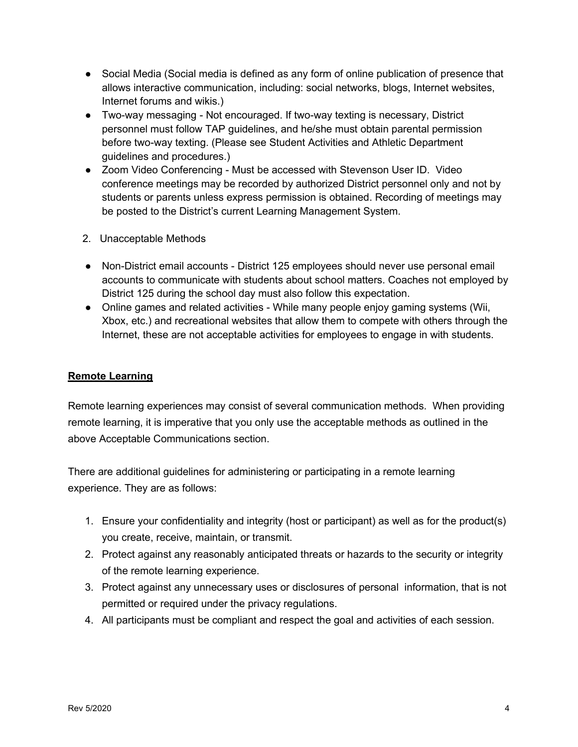- Social Media (Social media is defined as any form of online publication of presence that allows interactive communication, including: social networks, blogs, Internet websites, Internet forums and wikis.)
- Two-way messaging Not encouraged. If two-way texting is necessary, District personnel must follow TAP guidelines, and he/she must obtain parental permission before two-way texting. (Please see Student Activities and Athletic Department guidelines and procedures.)
- Zoom Video Conferencing Must be accessed with Stevenson User ID. Video conference meetings may be recorded by authorized District personnel only and not by students or parents unless express permission is obtained. Recording of meetings may be posted to the District's current Learning Management System.
- 2. Unacceptable Methods
- Non-District email accounts District 125 employees should never use personal email accounts to communicate with students about school matters. Coaches not employed by District 125 during the school day must also follow this expectation.
- Online games and related activities While many people enjoy gaming systems (Wii, Xbox, etc.) and recreational websites that allow them to compete with others through the Internet, these are not acceptable activities for employees to engage in with students.

## **Remote Learning**

Remote learning experiences may consist of several communication methods. When providing remote learning, it is imperative that you only use the acceptable methods as outlined in the above Acceptable Communications section.

There are additional guidelines for administering or participating in a remote learning experience. They are as follows:

- 1. Ensure your confidentiality and integrity (host or participant) as well as for the product(s) you create, receive, maintain, or transmit.
- 2. Protect against any reasonably anticipated threats or hazards to the security or integrity of the remote learning experience.
- 3. Protect against any unnecessary uses or disclosures of personal information, that is not permitted or required under the privacy regulations.
- 4. All participants must be compliant and respect the goal and activities of each session.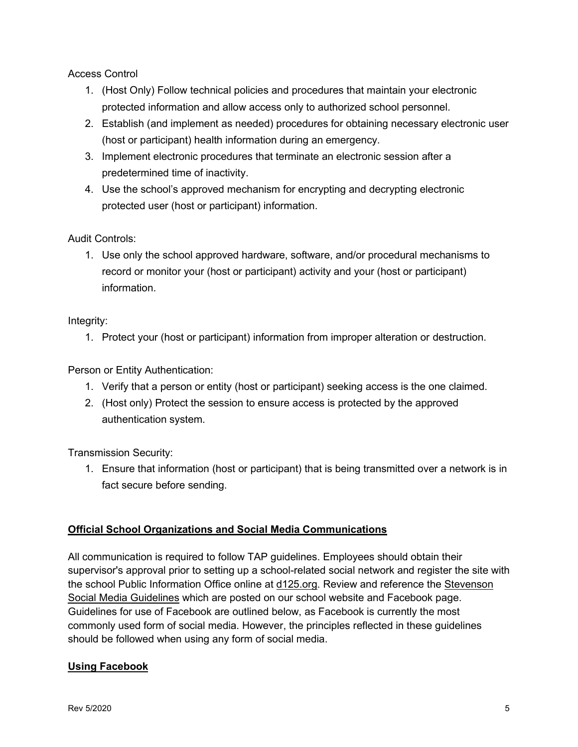Access Control

- 1. (Host Only) Follow technical policies and procedures that maintain your electronic protected information and allow access only to authorized school personnel.
- 2. Establish (and implement as needed) procedures for obtaining necessary electronic user (host or participant) health information during an emergency.
- 3. Implement electronic procedures that terminate an electronic session after a predetermined time of inactivity.
- 4. Use the school's approved mechanism for encrypting and decrypting electronic protected user (host or participant) information.

## Audit Controls:

1. Use only the school approved hardware, software, and/or procedural mechanisms to record or monitor your (host or participant) activity and your (host or participant) information.

# Integrity:

1. Protect your (host or participant) information from improper alteration or destruction.

Person or Entity Authentication:

- 1. Verify that a person or entity (host or participant) seeking access is the one claimed.
- 2. (Host only) Protect the session to ensure access is protected by the approved authentication system.

Transmission Security:

1. Ensure that information (host or participant) that is being transmitted over a network is in fact secure before sending.

# **Official School Organizations and Social Media Communications**

All communication is required to follow TAP guidelines. Employees should obtain their supervisor's approval prior to setting up a school-related social network and register the site with the school Public Information Office online at d125.org. Review and reference the Stevenson Social Media Guidelines which are posted on our school website and Facebook page. Guidelines for use of Facebook are outlined below, as Facebook is currently the most commonly used form of social media. However, the principles reflected in these guidelines should be followed when using any form of social media.

## **Using Facebook**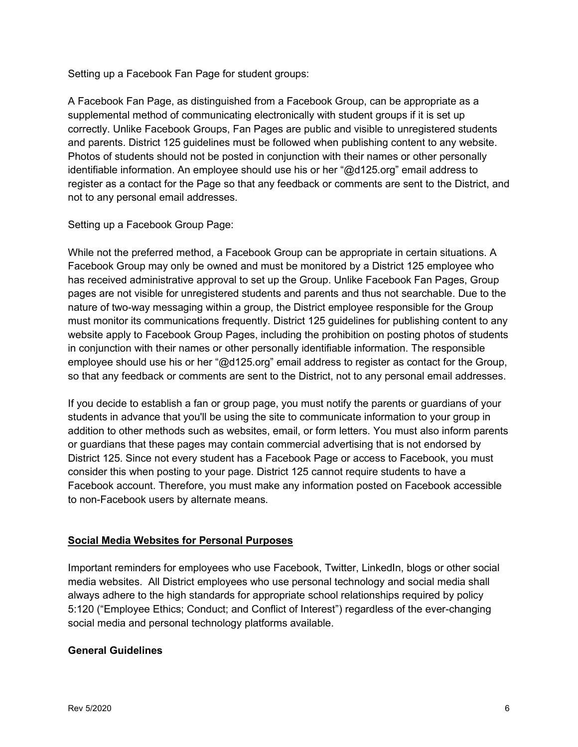Setting up a Facebook Fan Page for student groups:

A Facebook Fan Page, as distinguished from a Facebook Group, can be appropriate as a supplemental method of communicating electronically with student groups if it is set up correctly. Unlike Facebook Groups, Fan Pages are public and visible to unregistered students and parents. District 125 guidelines must be followed when publishing content to any website. Photos of students should not be posted in conjunction with their names or other personally identifiable information. An employee should use his or her " $@d125.org"$  email address to register as a contact for the Page so that any feedback or comments are sent to the District, and not to any personal email addresses.

Setting up a Facebook Group Page:

While not the preferred method, a Facebook Group can be appropriate in certain situations. A Facebook Group may only be owned and must be monitored by a District 125 employee who has received administrative approval to set up the Group. Unlike Facebook Fan Pages, Group pages are not visible for unregistered students and parents and thus not searchable. Due to the nature of two-way messaging within a group, the District employee responsible for the Group must monitor its communications frequently. District 125 guidelines for publishing content to any website apply to Facebook Group Pages, including the prohibition on posting photos of students in conjunction with their names or other personally identifiable information. The responsible employee should use his or her "@d125.org" email address to register as contact for the Group, so that any feedback or comments are sent to the District, not to any personal email addresses.

If you decide to establish a fan or group page, you must notify the parents or guardians of your students in advance that you'll be using the site to communicate information to your group in addition to other methods such as websites, email, or form letters. You must also inform parents or guardians that these pages may contain commercial advertising that is not endorsed by District 125. Since not every student has a Facebook Page or access to Facebook, you must consider this when posting to your page. District 125 cannot require students to have a Facebook account. Therefore, you must make any information posted on Facebook accessible to non-Facebook users by alternate means.

## **Social Media Websites for Personal Purposes**

Important reminders for employees who use Facebook, Twitter, LinkedIn, blogs or other social media websites. All District employees who use personal technology and social media shall always adhere to the high standards for appropriate school relationships required by policy 5:120 ("Employee Ethics; Conduct; and Conflict of Interest") regardless of the ever-changing social media and personal technology platforms available.

## **General Guidelines**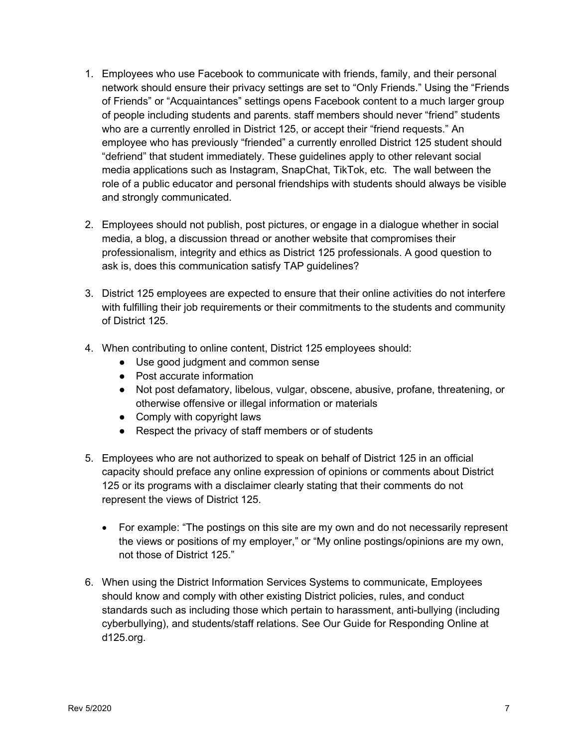- 1. Employees who use Facebook to communicate with friends, family, and their personal network should ensure their privacy settings are set to "Only Friends." Using the "Friends of Friends" or "Acquaintances" settings opens Facebook content to a much larger group of people including students and parents. staff members should never "friend" students who are a currently enrolled in District 125, or accept their "friend requests." An employee who has previously "friended" a currently enrolled District 125 student should "defriend" that student immediately. These guidelines apply to other relevant social media applications such as Instagram, SnapChat, TikTok, etc. The wall between the role of a public educator and personal friendships with students should always be visible and strongly communicated.
- 2. Employees should not publish, post pictures, or engage in a dialogue whether in social media, a blog, a discussion thread or another website that compromises their professionalism, integrity and ethics as District 125 professionals. A good question to ask is, does this communication satisfy TAP guidelines?
- 3. District 125 employees are expected to ensure that their online activities do not interfere with fulfilling their job requirements or their commitments to the students and community of District 125.
- 4. When contributing to online content, District 125 employees should:
	- Use good judgment and common sense
	- Post accurate information
	- Not post defamatory, libelous, vulgar, obscene, abusive, profane, threatening, or otherwise offensive or illegal information or materials
	- Comply with copyright laws
	- Respect the privacy of staff members or of students
- 5. Employees who are not authorized to speak on behalf of District 125 in an official capacity should preface any online expression of opinions or comments about District 125 or its programs with a disclaimer clearly stating that their comments do not represent the views of District 125.
	- For example: "The postings on this site are my own and do not necessarily represent the views or positions of my employer," or "My online postings/opinions are my own, not those of District 125."
- 6. When using the District Information Services Systems to communicate, Employees should know and comply with other existing District policies, rules, and conduct standards such as including those which pertain to harassment, anti-bullying (including cyberbullying), and students/staff relations. See Our Guide for Responding Online at d125.org.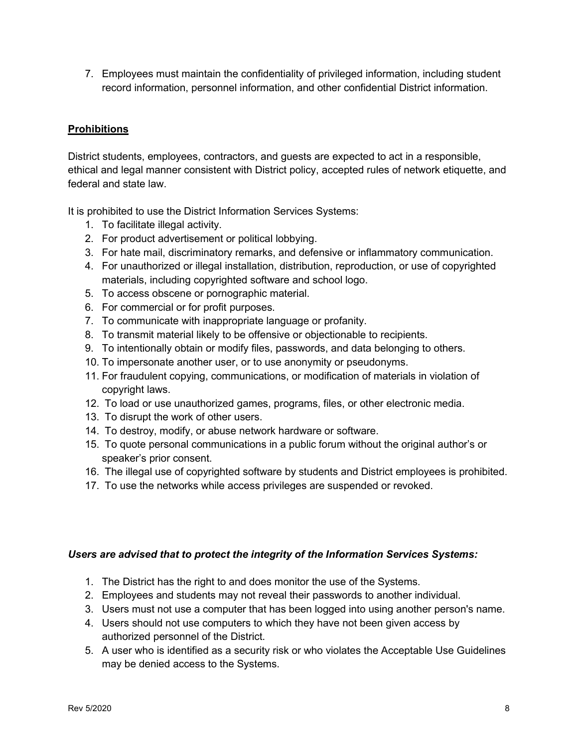7. Employees must maintain the confidentiality of privileged information, including student record information, personnel information, and other confidential District information.

## **Prohibitions**

District students, employees, contractors, and guests are expected to act in a responsible, ethical and legal manner consistent with District policy, accepted rules of network etiquette, and federal and state law.

It is prohibited to use the District Information Services Systems:

- 1. To facilitate illegal activity.
- 2. For product advertisement or political lobbying.
- 3. For hate mail, discriminatory remarks, and defensive or inflammatory communication.
- 4. For unauthorized or illegal installation, distribution, reproduction, or use of copyrighted materials, including copyrighted software and school logo.
- 5. To access obscene or pornographic material.
- 6. For commercial or for profit purposes.
- 7. To communicate with inappropriate language or profanity.
- 8. To transmit material likely to be offensive or objectionable to recipients.
- 9. To intentionally obtain or modify files, passwords, and data belonging to others.
- 10. To impersonate another user, or to use anonymity or pseudonyms.
- 11. For fraudulent copying, communications, or modification of materials in violation of copyright laws.
- 12. To load or use unauthorized games, programs, files, or other electronic media.
- 13. To disrupt the work of other users.
- 14. To destroy, modify, or abuse network hardware or software.
- 15. To quote personal communications in a public forum without the original author's or speaker's prior consent.
- 16. The illegal use of copyrighted software by students and District employees is prohibited.
- 17. To use the networks while access privileges are suspended or revoked.

### *Users are advised that to protect the integrity of the Information Services Systems:*

- 1. The District has the right to and does monitor the use of the Systems.
- 2. Employees and students may not reveal their passwords to another individual.
- 3. Users must not use a computer that has been logged into using another person's name.
- 4. Users should not use computers to which they have not been given access by authorized personnel of the District.
- 5. A user who is identified as a security risk or who violates the Acceptable Use Guidelines may be denied access to the Systems.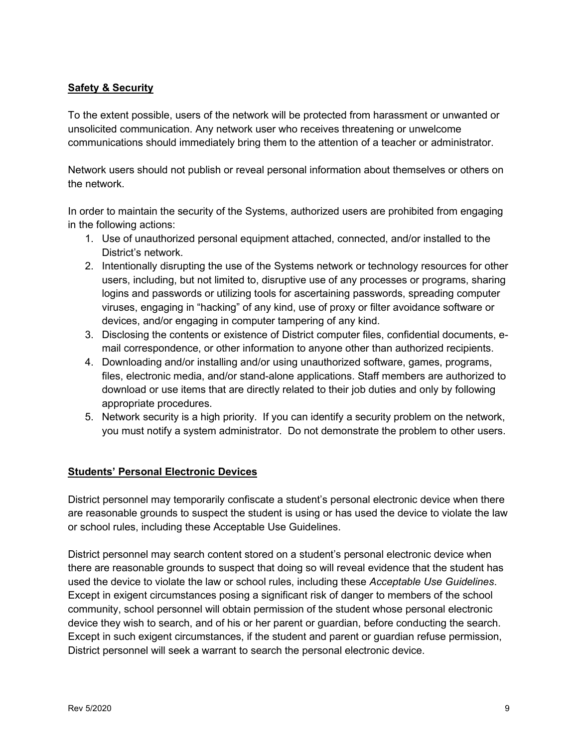### **Safety & Security**

To the extent possible, users of the network will be protected from harassment or unwanted or unsolicited communication. Any network user who receives threatening or unwelcome communications should immediately bring them to the attention of a teacher or administrator.

Network users should not publish or reveal personal information about themselves or others on the network.

In order to maintain the security of the Systems, authorized users are prohibited from engaging in the following actions:

- 1. Use of unauthorized personal equipment attached, connected, and/or installed to the District's network.
- 2. Intentionally disrupting the use of the Systems network or technology resources for other users, including, but not limited to, disruptive use of any processes or programs, sharing logins and passwords or utilizing tools for ascertaining passwords, spreading computer viruses, engaging in "hacking" of any kind, use of proxy or filter avoidance software or devices, and/or engaging in computer tampering of any kind.
- 3. Disclosing the contents or existence of District computer files, confidential documents, email correspondence, or other information to anyone other than authorized recipients.
- 4. Downloading and/or installing and/or using unauthorized software, games, programs, files, electronic media, and/or stand-alone applications. Staff members are authorized to download or use items that are directly related to their job duties and only by following appropriate procedures.
- 5. Network security is a high priority. If you can identify a security problem on the network, you must notify a system administrator. Do not demonstrate the problem to other users.

### **Students¶ Personal Electronic Devices**

District personnel may temporarily confiscate a student's personal electronic device when there are reasonable grounds to suspect the student is using or has used the device to violate the law or school rules, including these Acceptable Use Guidelines.

District personnel may search content stored on a student's personal electronic device when there are reasonable grounds to suspect that doing so will reveal evidence that the student has used the device to violate the law or school rules, including these *Acceptable Use Guidelines*. Except in exigent circumstances posing a significant risk of danger to members of the school community, school personnel will obtain permission of the student whose personal electronic device they wish to search, and of his or her parent or guardian, before conducting the search. Except in such exigent circumstances, if the student and parent or guardian refuse permission, District personnel will seek a warrant to search the personal electronic device.